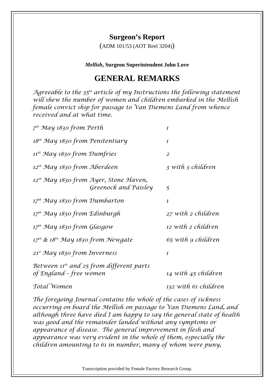## **Surgeon's Report**

(ADM 101/53 (AOT Reel 3204))

*Mellish***, Surgeon Superintendent John Love**

## **GENERAL REMARKS**

*Agreeable to the 35th article of my Instructions the following statement will shew the number of women and children embarked in the Mellish female convict ship for passage to Van Diemens Land from whence received and at what time.* 

| 7 <sup>th</sup> May 1830 from Perth                                       |                                                                           | $\mathbf{I}$         |
|---------------------------------------------------------------------------|---------------------------------------------------------------------------|----------------------|
| 18 <sup>th</sup> May 1830 from Penitentiary                               |                                                                           | $\mathbf{I}$         |
| 11 <sup>th</sup> May 1830 from Dumfries                                   |                                                                           | $\overline{2}$       |
| $12^{th}$ May 1830 from Aberdeen                                          |                                                                           | 3 with 3 children    |
|                                                                           | 12 <sup>th</sup> May 1830 from Ayer, Stone Haven,<br>Greenock and Paisley | 5                    |
| $17^{th}$ May 1830 from Dumbarton                                         |                                                                           | $\mathbf{I}$         |
| 17 <sup>th</sup> May 1830 from Edinburgh                                  |                                                                           | 27 with 2 children   |
| 17 <sup>th</sup> May 1830 from Glasgow                                    |                                                                           | 12 with 2 children   |
| $17^{th}$ & $18^{th}$ May 1830 from Newgate                               |                                                                           | 65 with 9 children   |
| 21st May 1830 from Inverness                                              |                                                                           | 1                    |
| Between $\Pi^{th}$ and 25 from different parts<br>of England - free women |                                                                           | 14 with 45 children  |
| Total Women                                                               |                                                                           | 132 with 61 children |

*The foregoing Journal contains the whole of the cases of sickness occurring on board the Mellish on passage to Van Diemens Land, and although three have died I am happy to say the general state of health was good and the remainder landed without any symptoms or appearance of disease. The general improvement in flesh and appearance was very evident in the whole of them, especially the children amounting to 61 in number, many of whom were puny,* 

Transcription provided by Female Factory Research Group.